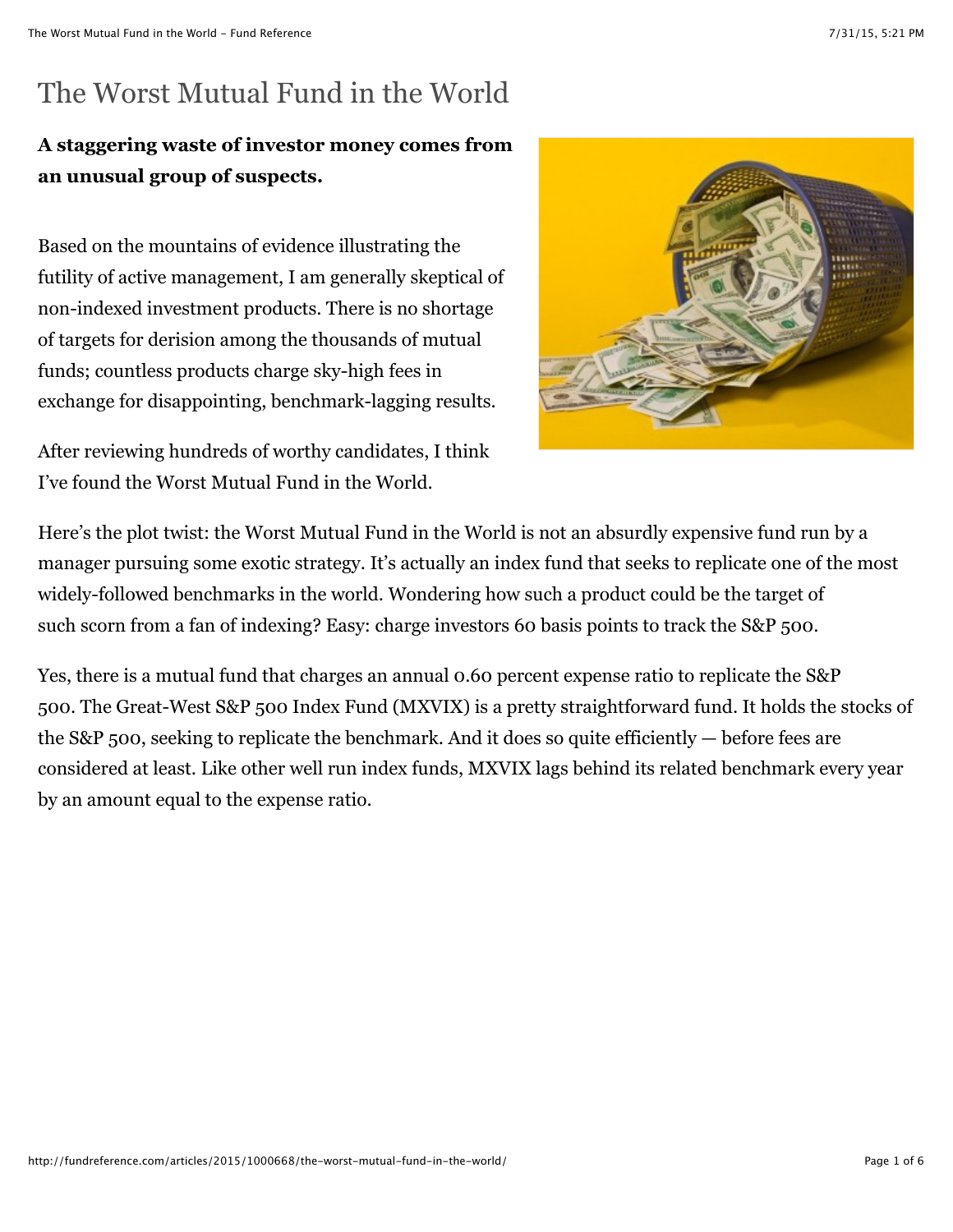# The Worst Mutual Fund in the World

## **A staggering waste of investor money comes from an unusual group of suspects.**

Based on the mountains of evidence illustrating the futility of active management, I am generally skeptical of non-indexed investment products. There is no shortage of targets for derision among the thousands of mutual funds; countless products charge sky-high fees in exchange for disappointing, benchmark-lagging results.

After reviewing hundreds of worthy candidates, I think I've found the Worst Mutual Fund in the World.



Here's the plot twist: the Worst Mutual Fund in the World is not an absurdly expensive fund run by a manager pursuing some exotic strategy. It's actually an index fund that seeks to replicate one of the most widely-followed benchmarks in the world. Wondering how such a product could be the target of such scorn from a fan of indexing? Easy: charge investors 60 basis points to track the S&P 500.

Yes, there is a mutual fund that charges an annual 0.60 percent expense ratio to replicate the S&P 500. The Great-West S&P 500 Index Fund (MXVIX) is a pretty straightforward fund. It holds the stocks of the S&P 500, seeking to replicate the benchmark. And it does so quite efficiently — before fees are considered at least. Like other well run index funds, MXVIX lags behind its related benchmark every year by an amount equal to the expense ratio.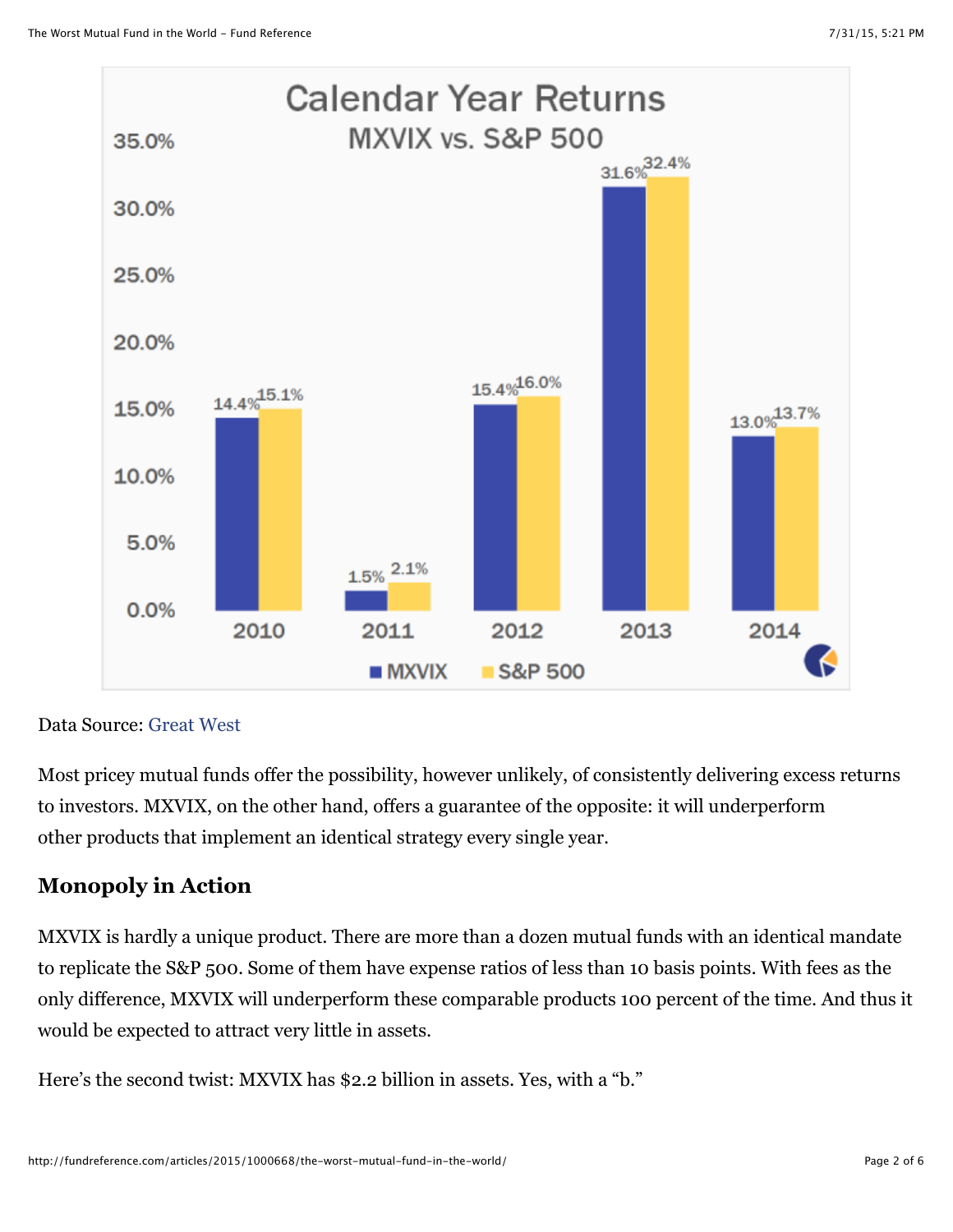

Data Source: [Great West](https://dcprovider.com/Great-West_Funds/PDF/MXVIX.pdf)

Most pricey mutual funds offer the possibility, however unlikely, of consistently delivering excess returns to investors. MXVIX, on the other hand, offers a guarantee of the opposite: it will underperform other products that implement an identical strategy every single year.

## **Monopoly in Action**

MXVIX is hardly a unique product. There are more than a dozen mutual funds with an identical mandate to replicate the S&P 500. Some of them have expense ratios of less than 10 basis points. With fees as the only difference, MXVIX will underperform these comparable products 100 percent of the time. And thus it would be expected to attract very little in assets.

Here's the second twist: MXVIX has \$2.2 billion in assets. Yes, with a "b."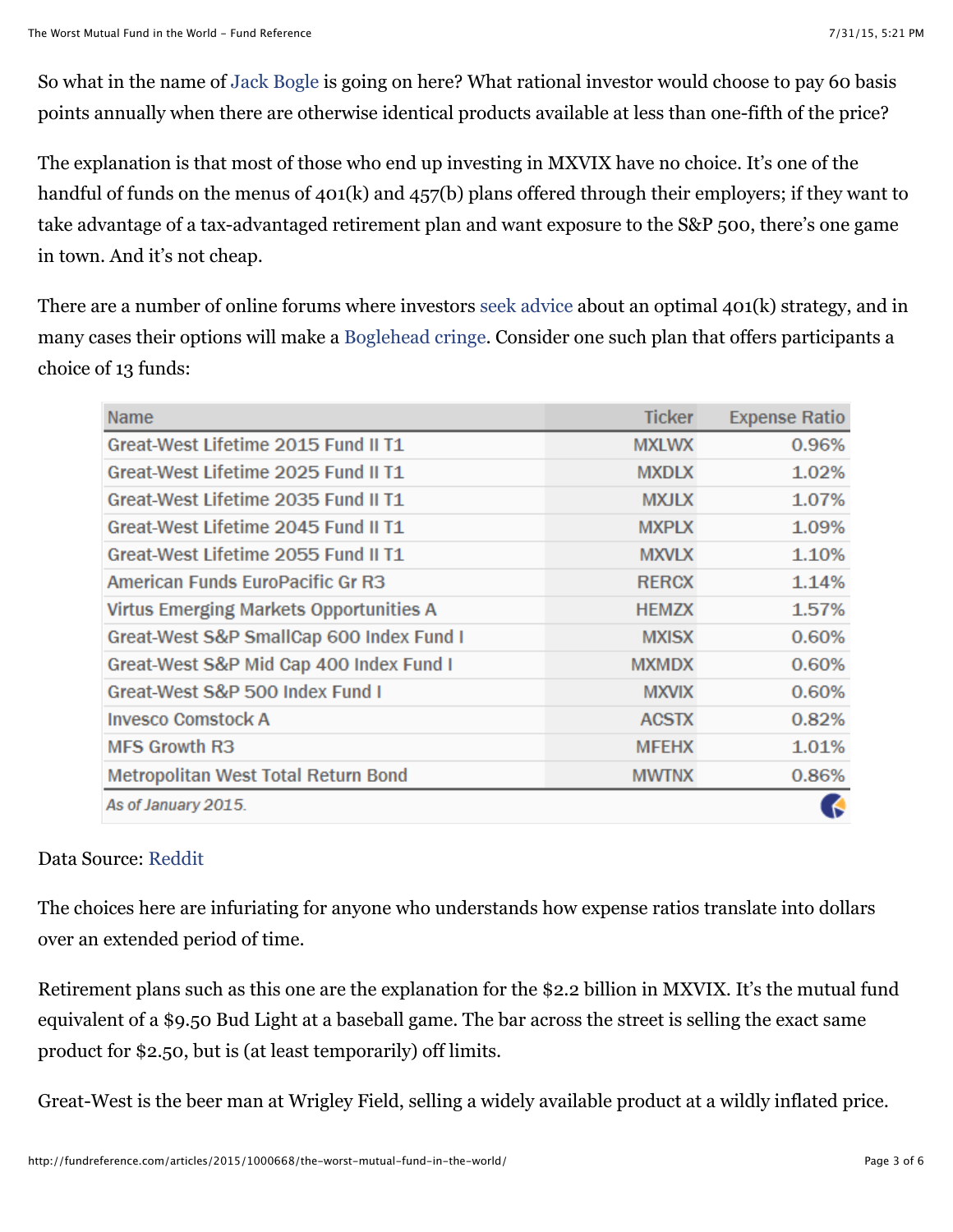So what in the name of [Jack Bogle](http://fundreference.com/articles/2015/1000069/the-bogleheads-hall-of-fame/) is going on here? What rational investor would choose to pay 60 basis points annually when there are otherwise identical products available at less than one-fifth of the price?

The explanation is that most of those who end up investing in MXVIX have no choice. It's one of the handful of funds on the menus of 401(k) and 457(b) plans offered through their employers; if they want to take advantage of a tax-advantaged retirement plan and want exposure to the S&P 500, there's one game in town. And it's not cheap.

There are a number of online forums where investors [seek advice](https://www.bogleheads.org/forum/viewtopic.php?t=100906) about an optimal 401(k) strategy, and in many cases their options will make a [Boglehead cringe](http://fundreference.com/articles/2015/1000275/pension-funds-own-worst-enemy-bogleheads-worst-nightmare/). Consider one such plan that offers participants a choice of 13 funds:

| <b>Name</b>                                    | <b>Ticker</b> | <b>Expense Ratio</b> |
|------------------------------------------------|---------------|----------------------|
| Great-West Lifetime 2015 Fund II T1            | <b>MXLWX</b>  | 0.96%                |
| Great-West Lifetime 2025 Fund II T1            | <b>MXDLX</b>  | 1.02%                |
| Great-West Lifetime 2035 Fund II T1            | <b>MXJLX</b>  | 1.07%                |
| Great-West Lifetime 2045 Fund II T1            | <b>MXPLX</b>  | 1.09%                |
| Great-West Lifetime 2055 Fund II T1            | <b>MXVLX</b>  | 1.10%                |
| <b>American Funds EuroPacific Gr R3</b>        | <b>RERCX</b>  | 1.14%                |
| <b>Virtus Emerging Markets Opportunities A</b> | <b>HEMZX</b>  | 1.57%                |
| Great-West S&P SmallCap 600 Index Fund I       | <b>MXISX</b>  | 0.60%                |
| Great-West S&P Mid Cap 400 Index Fund I        | <b>MXMDX</b>  | 0.60%                |
| Great-West S&P 500 Index Fund I                | <b>MXVIX</b>  | 0.60%                |
| <b>Invesco Comstock A</b>                      | <b>ACSTX</b>  | 0.82%                |
| <b>MFS Growth R3</b>                           | <b>MFEHX</b>  | 1.01%                |
| Metropolitan West Total Return Bond            | <b>MWTNX</b>  | 0.86%                |
| As of January 2015.                            |               |                      |

### Data Source: [Reddit](http://www.reddit.com/r/personalfinance/comments/2td46o/employer_just_rolled_out_new_401k_plan_with_no/)

The choices here are infuriating for anyone who understands how expense ratios translate into dollars over an extended period of time.

Retirement plans such as this one are the explanation for the \$2.2 billion in MXVIX. It's the mutual fund equivalent of a \$9.50 Bud Light at a baseball game. The bar across the street is selling the exact same product for \$2.50, but is (at least temporarily) off limits.

Great-West is the beer man at Wrigley Field, selling a widely available product at a wildly inflated price.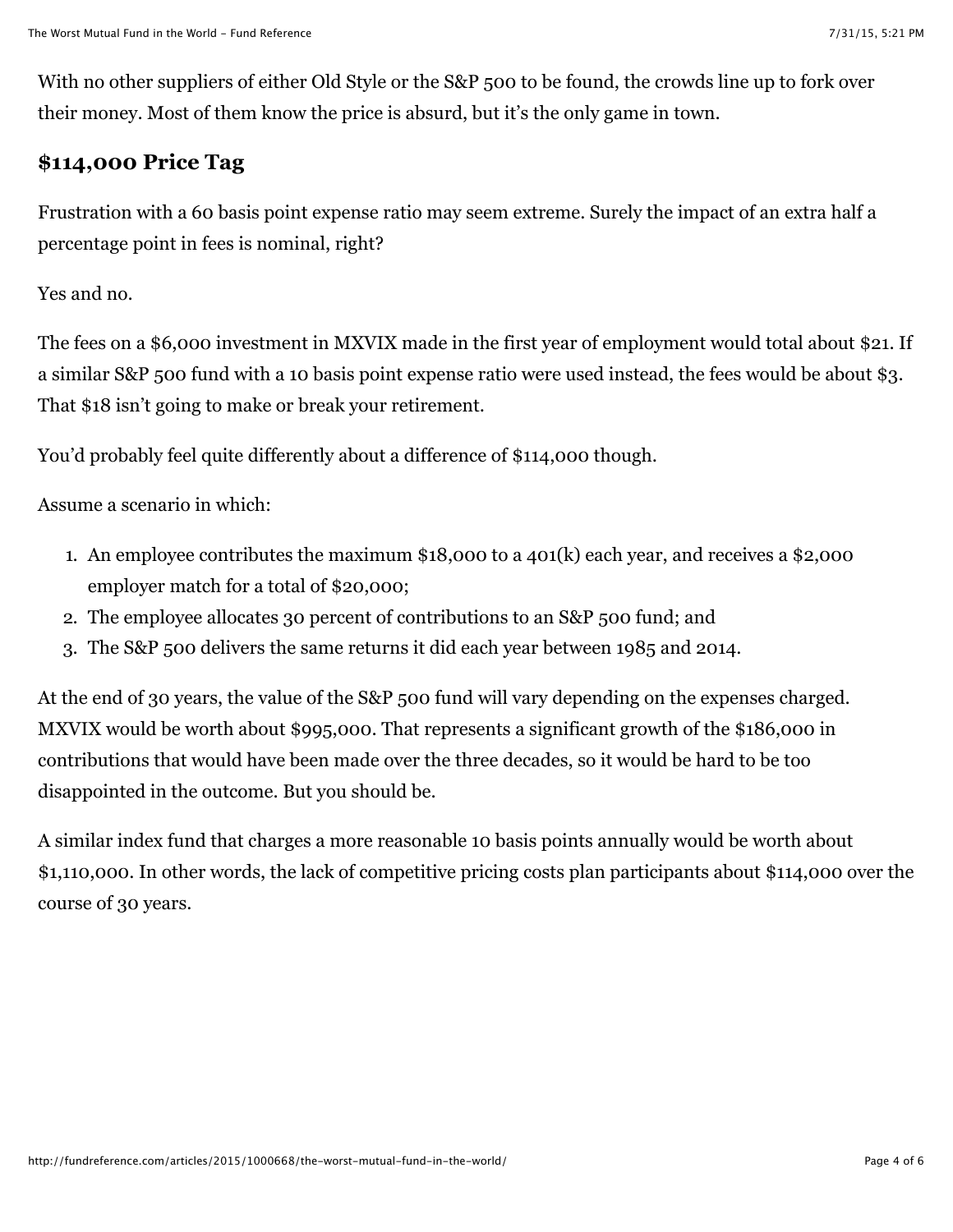With no other suppliers of either Old Style or the S&P 500 to be found, the crowds line up to fork over their money. Most of them know the price is absurd, but it's the only game in town.

## **\$114,000 Price Tag**

Frustration with a 60 basis point expense ratio may seem extreme. Surely the impact of an extra half a percentage point in fees is nominal, right?

Yes and no.

The fees on a \$6,000 investment in MXVIX made in the first year of employment would total about \$21. If a similar S&P 500 fund with a 10 basis point expense ratio were used instead, the fees would be about \$3. That \$18 isn't going to make or break your retirement.

You'd probably feel quite differently about a difference of \$114,000 though.

Assume a scenario in which:

- 1. An employee contributes the maximum \$18,000 to a 401(k) each year, and receives a \$2,000 employer match for a total of \$20,000;
- 2. The employee allocates 30 percent of contributions to an S&P 500 fund; and
- 3. The S&P 500 delivers the same returns it did each year between 1985 and 2014.

At the end of 30 years, the value of the S&P 500 fund will vary depending on the expenses charged. MXVIX would be worth about \$995,000. That represents a significant growth of the \$186,000 in contributions that would have been made over the three decades, so it would be hard to be too disappointed in the outcome. But you should be.

A similar index fund that charges a more reasonable 10 basis points annually would be worth about \$1,110,000. In other words, the lack of competitive pricing costs plan participants about \$114,000 over the course of 30 years.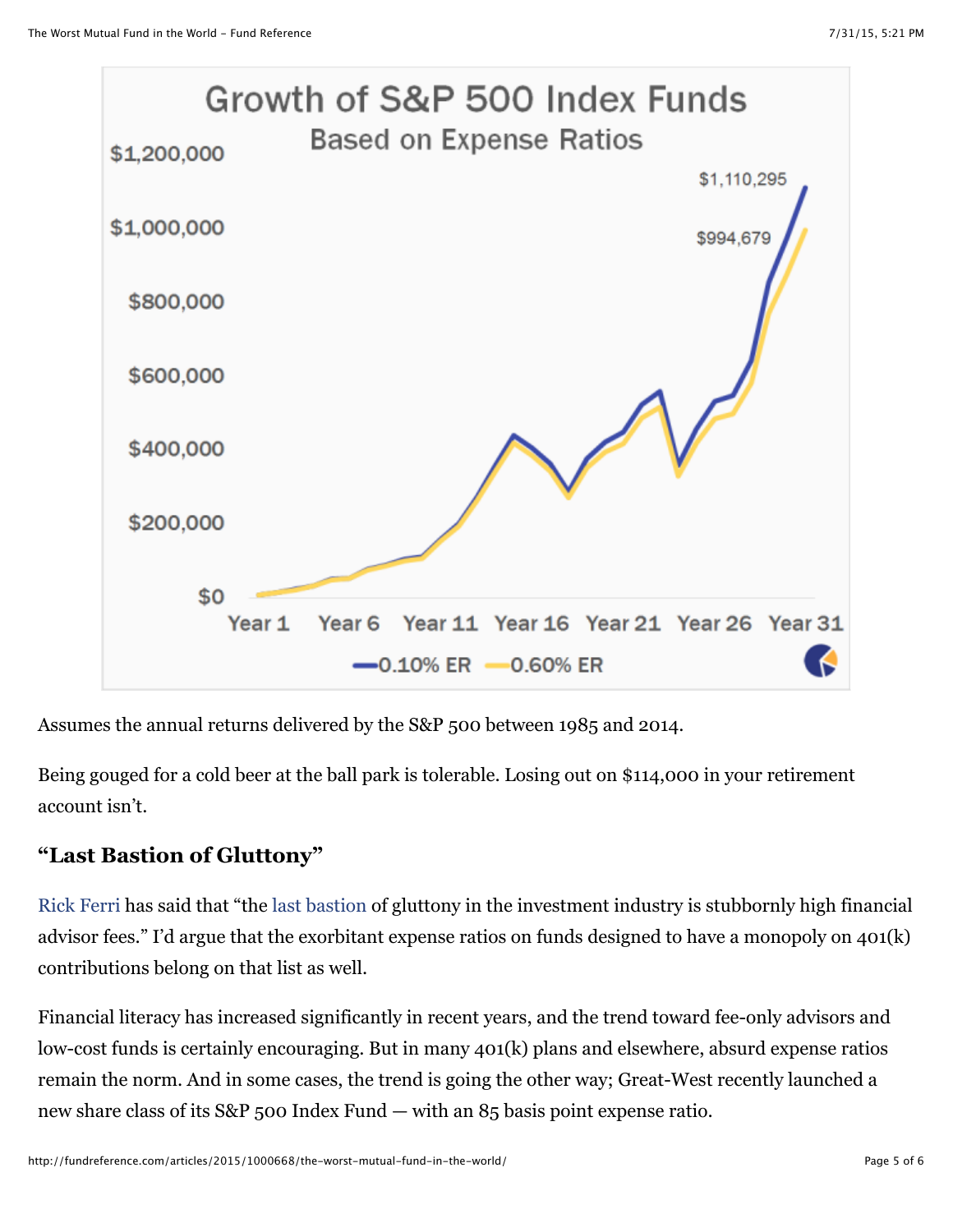

Assumes the annual returns delivered by the S&P 500 between 1985 and 2014.

Being gouged for a cold beer at the ball park is tolerable. Losing out on \$114,000 in your retirement account isn't.

## **"Last Bastion of Gluttony"**

[Rick Ferri](http://fundreference.com/articles/2015/1000163/top-41-rick-ferri-quotes/) has said that "the [last bastion](http://www.rickferri.com/blog/strategy/8-bad-excuses-for-high-advisor-fees/) of gluttony in the investment industry is stubbornly high financial advisor fees." I'd argue that the exorbitant expense ratios on funds designed to have a monopoly on 401(k) contributions belong on that list as well.

Financial literacy has increased significantly in recent years, and the trend toward fee-only advisors and low-cost funds is certainly encouraging. But in many 401(k) plans and elsewhere, absurd expense ratios remain the norm. And in some cases, the trend is going the other way; Great-West recently launched a new share class of its S&P 500 Index Fund — with an 85 basis point expense ratio.